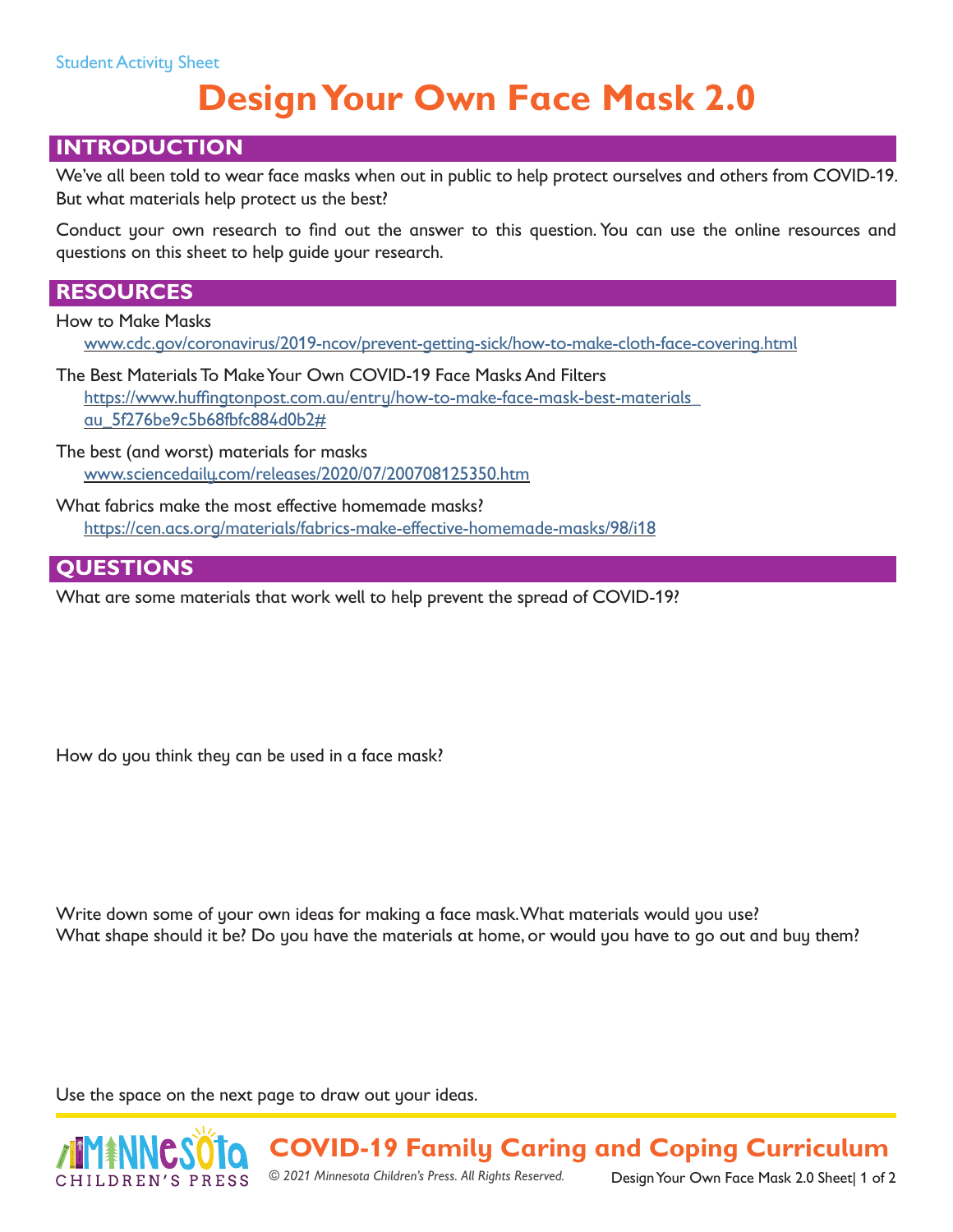# **Design Your Own Face Mask 2.0**

### **INTRODUCTION**

We've all been told to wear face masks when out in public to help protect ourselves and others from COVID-19. But what materials help protect us the best?

Conduct your own research to find out the answer to this question. You can use the online resources and questions on this sheet to help guide your research.

### **RESOURCES**

How to Make Masks

[www.cdc.gov/coronavirus/2019-ncov/prevent-getting-sick/how-to-make-cloth-face-covering.html](http://www.cdc.gov/coronavirus/2019-ncov/prevent-getting-sick/how-to-make-cloth-face-covering.html)

The Best Materials To Make Your Own COVID-19 Face Masks And Filters [https://www.huffingtonpost.com.au/entry/how-to-make-face-mask-best-materials\\_](https://www.huffingtonpost.com.au/entry/how-to-make-face-mask-best-materials_au_5f276be9c5b68fbfc884d0b2#) [au\\_5f276be9c5b68fbfc884d0b2#](https://www.huffingtonpost.com.au/entry/how-to-make-face-mask-best-materials_au_5f276be9c5b68fbfc884d0b2#)

The best (and worst) materials for masks [www.sciencedaily.com/releases/2020/07/200708125350.htm](http://www.sciencedaily.com/releases/2020/07/200708125350.htm)

What fabrics make the most effective homemade masks? [https://cen.acs.org/materials/fabrics-make-effective-homemade-masks/98/i18](https://cen.acs.org/materials/fabrics-make-effective-homemade-masks/98/i18 )

#### **QUESTIONS**

What are some materials that work well to help prevent the spread of COVID-19?

How do you think they can be used in a face mask?

Write down some of your own ideas for making a face mask. What materials would you use? What shape should it be? Do you have the materials at home, or would you have to go out and buy them?

Use the space on the next page to draw out your ideas.